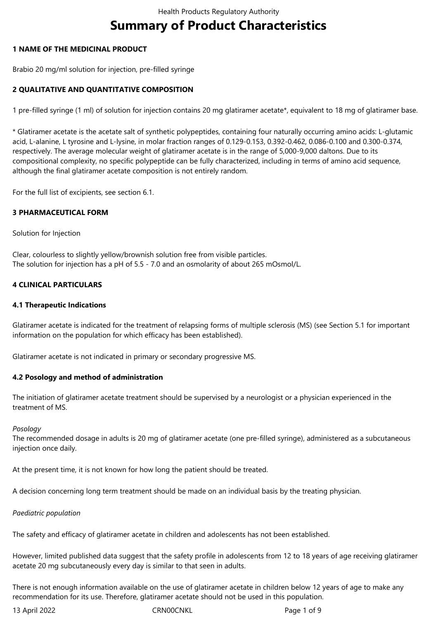# **Summary of Product Characteristics**

# **1 NAME OF THE MEDICINAL PRODUCT**

Brabio 20 mg/ml solution for injection, pre-filled syringe

# **2 QUALITATIVE AND QUANTITATIVE COMPOSITION**

1 pre-filled syringe (1 ml) of solution for injection contains 20 mg glatiramer acetate\*, equivalent to 18 mg of glatiramer base.

\* Glatiramer acetate is the acetate salt of synthetic polypeptides, containing four naturally occurring amino acids: L-glutamic acid, L-alanine, L tyrosine and L-lysine, in molar fraction ranges of 0.129-0.153, 0.392-0.462, 0.086-0.100 and 0.300-0.374, respectively. The average molecular weight of glatiramer acetate is in the range of 5,000-9,000 daltons. Due to its compositional complexity, no specific polypeptide can be fully characterized, including in terms of amino acid sequence, although the final glatiramer acetate composition is not entirely random.

For the full list of excipients, see section 6.1.

## **3 PHARMACEUTICAL FORM**

## Solution for Injection

Clear, colourless to slightly yellow/brownish solution free from visible particles. The solution for injection has a pH of 5.5 - 7.0 and an osmolarity of about 265 mOsmol/L.

## **4 CLINICAL PARTICULARS**

## **4.1 Therapeutic Indications**

Glatiramer acetate is indicated for the treatment of relapsing forms of multiple sclerosis (MS) (see Section 5.1 for important information on the population for which efficacy has been established).

Glatiramer acetate is not indicated in primary or secondary progressive MS.

## **4.2 Posology and method of administration**

The initiation of glatiramer acetate treatment should be supervised by a neurologist or a physician experienced in the treatment of MS.

## *Posology*

The recommended dosage in adults is 20 mg of glatiramer acetate (one pre-filled syringe), administered as a subcutaneous injection once daily.

At the present time, it is not known for how long the patient should be treated.

A decision concerning long term treatment should be made on an individual basis by the treating physician.

## *Paediatric population*

The safety and efficacy of glatiramer acetate in children and adolescents has not been established.

However, limited published data suggest that the safety profile in adolescents from 12 to 18 years of age receiving glatiramer acetate 20 mg subcutaneously every day is similar to that seen in adults.

There is not enough information available on the use of glatiramer acetate in children below 12 years of age to make any recommendation for its use. Therefore, glatiramer acetate should not be used in this population.

13 April 2022 CRN00CNKL Page 1 of 9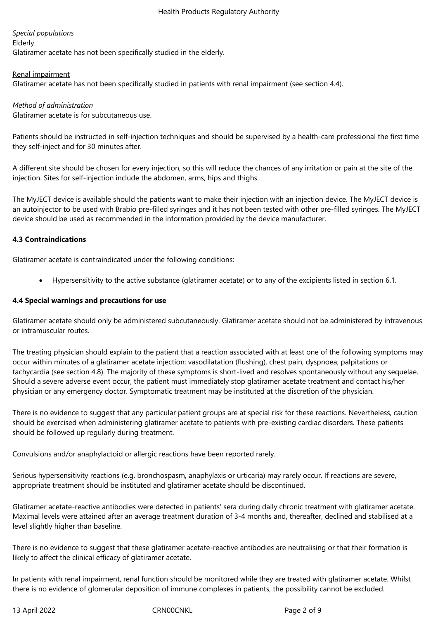# *Special populations*

**Elderly** 

Glatiramer acetate has not been specifically studied in the elderly.

## Renal impairment

Glatiramer acetate has not been specifically studied in patients with renal impairment (see section 4.4).

# *Method of administration*

Glatiramer acetate is for subcutaneous use.

Patients should be instructed in self-injection techniques and should be supervised by a health-care professional the first time they self-inject and for 30 minutes after.

A different site should be chosen for every injection, so this will reduce the chances of any irritation or pain at the site of the injection. Sites for self-injection include the abdomen, arms, hips and thighs.

The MyJECT device is available should the patients want to make their injection with an injection device. The MyJECT device is an autoinjector to be used with Brabio pre-filled syringes and it has not been tested with other pre-filled syringes. The MyJECT device should be used as recommended in the information provided by the device manufacturer.

# **4.3 Contraindications**

Glatiramer acetate is contraindicated under the following conditions:

Hypersensitivity to the active substance (glatiramer acetate) or to any of the excipients listed in section 6.1.

# **4.4 Special warnings and precautions for use**

Glatiramer acetate should only be administered subcutaneously. Glatiramer acetate should not be administered by intravenous or intramuscular routes.

The treating physician should explain to the patient that a reaction associated with at least one of the following symptoms may occur within minutes of a glatiramer acetate injection: vasodilatation (flushing), chest pain, dyspnoea, palpitations or tachycardia (see section 4.8). The majority of these symptoms is short-lived and resolves spontaneously without any sequelae. Should a severe adverse event occur, the patient must immediately stop glatiramer acetate treatment and contact his/her physician or any emergency doctor. Symptomatic treatment may be instituted at the discretion of the physician.

There is no evidence to suggest that any particular patient groups are at special risk for these reactions. Nevertheless, caution should be exercised when administering glatiramer acetate to patients with pre-existing cardiac disorders. These patients should be followed up regularly during treatment.

Convulsions and/or anaphylactoid or allergic reactions have been reported rarely.

Serious hypersensitivity reactions (e.g. bronchospasm, anaphylaxis or urticaria) may rarely occur. If reactions are severe, appropriate treatment should be instituted and glatiramer acetate should be discontinued.

Glatiramer acetate-reactive antibodies were detected in patients' sera during daily chronic treatment with glatiramer acetate. Maximal levels were attained after an average treatment duration of 3-4 months and, thereafter, declined and stabilised at a level slightly higher than baseline.

There is no evidence to suggest that these glatiramer acetate-reactive antibodies are neutralising or that their formation is likely to affect the clinical efficacy of glatiramer acetate.

In patients with renal impairment, renal function should be monitored while they are treated with glatiramer acetate. Whilst there is no evidence of glomerular deposition of immune complexes in patients, the possibility cannot be excluded.

13 April 2022 CRN00CNKL Page 2 of 9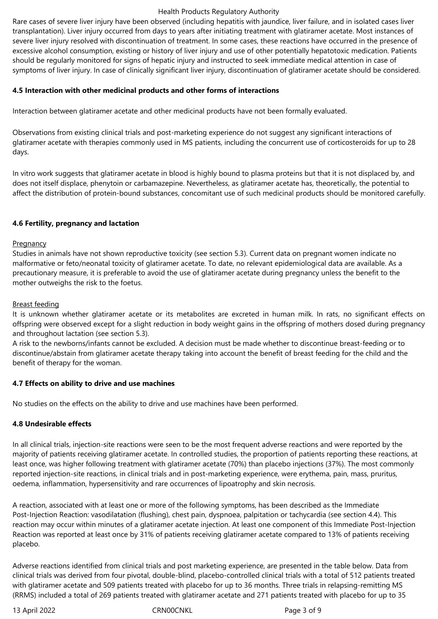## Health Products Regulatory Authority

Rare cases of severe liver injury have been observed (including hepatitis with jaundice, liver failure, and in isolated cases liver transplantation). Liver injury occurred from days to years after initiating treatment with glatiramer acetate. Most instances of severe liver injury resolved with discontinuation of treatment. In some cases, these reactions have occurred in the presence of excessive alcohol consumption, existing or history of liver injury and use of other potentially hepatotoxic medication. Patients should be regularly monitored for signs of hepatic injury and instructed to seek immediate medical attention in case of symptoms of liver injury. In case of clinically significant liver injury, discontinuation of glatiramer acetate should be considered.

# **4.5 Interaction with other medicinal products and other forms of interactions**

Interaction between glatiramer acetate and other medicinal products have not been formally evaluated.

Observations from existing clinical trials and post-marketing experience do not suggest any significant interactions of glatiramer acetate with therapies commonly used in MS patients, including the concurrent use of corticosteroids for up to 28 days.

In vitro work suggests that glatiramer acetate in blood is highly bound to plasma proteins but that it is not displaced by, and does not itself displace, phenytoin or carbamazepine. Nevertheless, as glatiramer acetate has, theoretically, the potential to affect the distribution of protein-bound substances, concomitant use of such medicinal products should be monitored carefully.

## **4.6 Fertility, pregnancy and lactation**

#### **Pregnancy**

Studies in animals have not shown reproductive toxicity (see section 5.3). Current data on pregnant women indicate no malformative or feto/neonatal toxicity of glatiramer acetate. To date, no relevant epidemiological data are available. As a precautionary measure, it is preferable to avoid the use of glatiramer acetate during pregnancy unless the benefit to the mother outweighs the risk to the foetus.

## Breast feeding

It is unknown whether glatiramer acetate or its metabolites are excreted in human milk. In rats, no significant effects on offspring were observed except for a slight reduction in body weight gains in the offspring of mothers dosed during pregnancy and throughout lactation (see section 5.3).

A risk to the newborns/infants cannot be excluded. A decision must be made whether to discontinue breast-feeding or to discontinue/abstain from glatiramer acetate therapy taking into account the benefit of breast feeding for the child and the benefit of therapy for the woman.

## **4.7 Effects on ability to drive and use machines**

No studies on the effects on the ability to drive and use machines have been performed.

## **4.8 Undesirable effects**

In all clinical trials, injection-site reactions were seen to be the most frequent adverse reactions and were reported by the majority of patients receiving glatiramer acetate. In controlled studies, the proportion of patients reporting these reactions, at least once, was higher following treatment with glatiramer acetate (70%) than placebo injections (37%). The most commonly reported injection-site reactions, in clinical trials and in post-marketing experience, were erythema, pain, mass, pruritus, oedema, inflammation, hypersensitivity and rare occurrences of lipoatrophy and skin necrosis.

A reaction, associated with at least one or more of the following symptoms, has been described as the Immediate Post-Injection Reaction: vasodilatation (flushing), chest pain, dyspnoea, palpitation or tachycardia (see section 4.4). This reaction may occur within minutes of a glatiramer acetate injection. At least one component of this Immediate Post-Injection Reaction was reported at least once by 31% of patients receiving glatiramer acetate compared to 13% of patients receiving placebo.

Adverse reactions identified from clinical trials and post marketing experience, are presented in the table below. Data from clinical trials was derived from four pivotal, double-blind, placebo-controlled clinical trials with a total of 512 patients treated with glatiramer acetate and 509 patients treated with placebo for up to 36 months. Three trials in relapsing-remitting MS (RRMS) included a total of 269 patients treated with glatiramer acetate and 271 patients treated with placebo for up to 35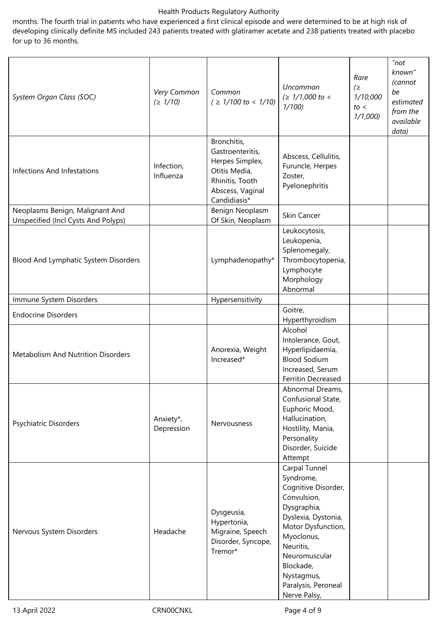## Health Products Regulatory Authority

months. The fourth trial in patients who have experienced a first clinical episode and were determined to be at high risk of developing clinically definite MS included 243 patients treated with glatiramer acetate and 238 patients treated with placebo for up to 36 months.

| System Organ Class (SOC)                                               | Very Common<br>(21/10)  | Common<br>$( \geq 1/100 \text{ to } < 1/10)$                                                                               | <b>Uncommon</b><br>$( \geq 1/1,000 \text{ to } <$<br>1/100                                                                                                                                                                                 | Rare<br>(<br>1/10,000<br>to <<br>1/1,000 | "not"<br>known"<br>(cannot<br>be<br>estimated<br>from the<br>available<br>data) |
|------------------------------------------------------------------------|-------------------------|----------------------------------------------------------------------------------------------------------------------------|--------------------------------------------------------------------------------------------------------------------------------------------------------------------------------------------------------------------------------------------|------------------------------------------|---------------------------------------------------------------------------------|
| <b>Infections And Infestations</b>                                     | Infection,<br>Influenza | Bronchitis,<br>Gastroenteritis,<br>Herpes Simplex,<br>Otitis Media,<br>Rhinitis, Tooth<br>Abscess, Vaginal<br>Candidiasis* | Abscess, Cellulitis,<br>Furuncle, Herpes<br>Zoster,<br>Pyelonephritis                                                                                                                                                                      |                                          |                                                                                 |
| Neoplasms Benign, Malignant And<br>Unspecified (Incl Cysts And Polyps) |                         | Benign Neoplasm<br>Of Skin, Neoplasm                                                                                       | Skin Cancer                                                                                                                                                                                                                                |                                          |                                                                                 |
| Blood And Lymphatic System Disorders                                   |                         | Lymphadenopathy*                                                                                                           | Leukocytosis,<br>Leukopenia,<br>Splenomegaly,<br>Thrombocytopenia,<br>Lymphocyte<br>Morphology<br>Abnormal                                                                                                                                 |                                          |                                                                                 |
| Immune System Disorders                                                |                         | Hypersensitivity                                                                                                           |                                                                                                                                                                                                                                            |                                          |                                                                                 |
|                                                                        |                         |                                                                                                                            | Goitre,                                                                                                                                                                                                                                    |                                          |                                                                                 |
| <b>Endocrine Disorders</b>                                             |                         |                                                                                                                            | Hyperthyroidism                                                                                                                                                                                                                            |                                          |                                                                                 |
| <b>Metabolism And Nutrition Disorders</b>                              |                         | Anorexia, Weight<br>Increased*                                                                                             | Alcohol<br>Intolerance, Gout,<br>Hyperlipidaemia,<br><b>Blood Sodium</b><br>Increased, Serum<br><b>Ferritin Decreased</b>                                                                                                                  |                                          |                                                                                 |
| Psychiatric Disorders                                                  | Anxiety*,<br>Depression | Nervousness                                                                                                                | Abnormal Dreams,<br>Confusional State,<br>Euphoric Mood,<br>Hallucination,<br>Hostility, Mania,<br>Personality<br>Disorder, Suicide<br>Attempt                                                                                             |                                          |                                                                                 |
| Nervous System Disorders                                               | Headache                | Dysgeusia,<br>Hypertonia,<br>Migraine, Speech<br>Disorder, Syncope,<br>Tremor*                                             | Carpal Tunnel<br>Syndrome,<br>Cognitive Disorder,<br>Convulsion,<br>Dysgraphia,<br>Dyslexia, Dystonia,<br>Motor Dysfunction,<br>Myoclonus,<br>Neuritis,<br>Neuromuscular<br>Blockade,<br>Nystagmus,<br>Paralysis, Peroneal<br>Nerve Palsy, |                                          |                                                                                 |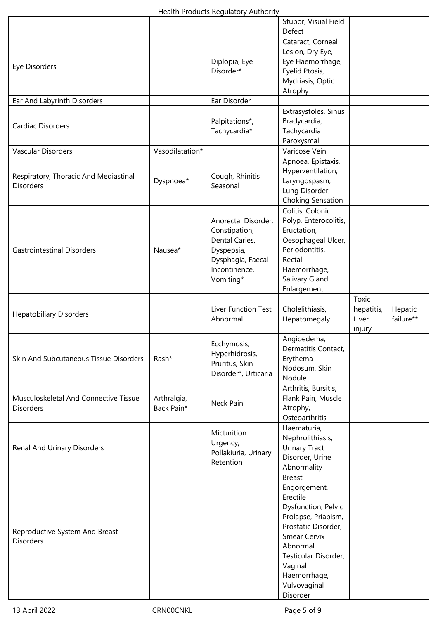|                                                    |                           |                                                          | Stupor, Visual Field     |            |           |
|----------------------------------------------------|---------------------------|----------------------------------------------------------|--------------------------|------------|-----------|
|                                                    |                           |                                                          | Defect                   |            |           |
|                                                    |                           |                                                          | Cataract, Corneal        |            |           |
|                                                    |                           |                                                          | Lesion, Dry Eye,         |            |           |
|                                                    |                           | Diplopia, Eye                                            | Eye Haemorrhage,         |            |           |
| Eye Disorders                                      |                           | Disorder*                                                | Eyelid Ptosis,           |            |           |
|                                                    |                           |                                                          | Mydriasis, Optic         |            |           |
|                                                    |                           |                                                          | Atrophy                  |            |           |
| Ear And Labyrinth Disorders                        |                           | Ear Disorder                                             |                          |            |           |
|                                                    |                           |                                                          | Extrasystoles, Sinus     |            |           |
| <b>Cardiac Disorders</b>                           |                           | Palpitations*,                                           | Bradycardia,             |            |           |
|                                                    |                           | Tachycardia*                                             | Tachycardia              |            |           |
|                                                    |                           |                                                          | Paroxysmal               |            |           |
| Vascular Disorders                                 | Vasodilatation*           |                                                          | Varicose Vein            |            |           |
|                                                    |                           |                                                          | Apnoea, Epistaxis,       |            |           |
|                                                    | Dyspnoea*                 | Cough, Rhinitis<br>Seasonal                              | Hyperventilation,        |            |           |
| Respiratory, Thoracic And Mediastinal              |                           |                                                          | Laryngospasm,            |            |           |
| <b>Disorders</b>                                   |                           |                                                          | Lung Disorder,           |            |           |
|                                                    |                           |                                                          |                          |            |           |
|                                                    |                           |                                                          | <b>Choking Sensation</b> |            |           |
|                                                    |                           |                                                          | Colitis, Colonic         |            |           |
|                                                    |                           | Anorectal Disorder,                                      | Polyp, Enterocolitis,    |            |           |
|                                                    |                           | Constipation,                                            | Eructation,              |            |           |
|                                                    |                           | Dental Caries,                                           | Oesophageal Ulcer,       |            |           |
| <b>Gastrointestinal Disorders</b>                  | Nausea*                   | Dyspepsia,                                               | Periodontitis,           |            |           |
|                                                    |                           | Dysphagia, Faecal                                        | Rectal                   |            |           |
|                                                    |                           | Incontinence,                                            | Haemorrhage,             |            |           |
|                                                    |                           | Vomiting*                                                | Salivary Gland           |            |           |
|                                                    |                           |                                                          | Enlargement              |            |           |
|                                                    |                           |                                                          |                          | Toxic      |           |
| <b>Hepatobiliary Disorders</b>                     |                           | Liver Function Test                                      | Cholelithiasis,          | hepatitis, | Hepatic   |
|                                                    |                           | Abnormal                                                 | Hepatomegaly             | Liver      | failure** |
|                                                    |                           |                                                          |                          | injury     |           |
|                                                    |                           |                                                          | Angioedema,              |            |           |
|                                                    |                           | Ecchymosis,                                              | Dermatitis Contact,      |            |           |
| Skin And Subcutaneous Tissue Disorders             | Rash*                     | Hyperhidrosis,<br>Pruritus, Skin<br>Disorder*, Urticaria | Erythema                 |            |           |
|                                                    |                           |                                                          | Nodosum, Skin            |            |           |
|                                                    |                           |                                                          | Nodule                   |            |           |
|                                                    | Arthralgia,<br>Back Pain* | Neck Pain                                                | Arthritis, Bursitis,     |            |           |
| Musculoskeletal And Connective Tissue              |                           |                                                          | Flank Pain, Muscle       |            |           |
| <b>Disorders</b>                                   |                           |                                                          | Atrophy,                 |            |           |
|                                                    |                           |                                                          | Osteoarthritis           |            |           |
| Renal And Urinary Disorders                        |                           |                                                          | Haematuria,              |            |           |
|                                                    |                           | Micturition                                              | Nephrolithiasis,         |            |           |
|                                                    |                           | Urgency,<br>Pollakiuria, Urinary                         | <b>Urinary Tract</b>     |            |           |
|                                                    |                           |                                                          | Disorder, Urine          |            |           |
|                                                    |                           | Retention                                                | Abnormality              |            |           |
| Reproductive System And Breast<br><b>Disorders</b> |                           |                                                          | <b>Breast</b>            |            |           |
|                                                    |                           |                                                          | Engorgement,             |            |           |
|                                                    |                           |                                                          | Erectile                 |            |           |
|                                                    |                           |                                                          | Dysfunction, Pelvic      |            |           |
|                                                    |                           |                                                          | Prolapse, Priapism,      |            |           |
|                                                    |                           |                                                          | Prostatic Disorder,      |            |           |
|                                                    |                           |                                                          | <b>Smear Cervix</b>      |            |           |
|                                                    |                           |                                                          | Abnormal,                |            |           |
|                                                    |                           |                                                          | Testicular Disorder,     |            |           |
|                                                    |                           |                                                          | Vaginal                  |            |           |
|                                                    |                           |                                                          | Haemorrhage,             |            |           |
|                                                    |                           |                                                          | Vulvovaginal             |            |           |
|                                                    |                           |                                                          | Disorder                 |            |           |
|                                                    |                           |                                                          |                          |            |           |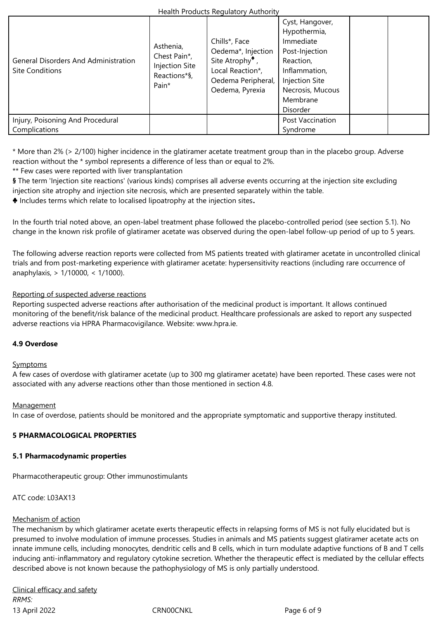| <b>General Disorders And Administration</b><br><b>Site Conditions</b> | Asthenia,<br>Chest Pain*,<br><b>Injection Site</b><br>Reactions*§,<br>Pain* | Chills*, Face<br>Oedema*, Injection<br>Site Atrophy $\overline{\phantom{a}}$ ,<br>Local Reaction*,<br>Oedema Peripheral,<br>Oedema, Pyrexia | Cyst, Hangover,<br>Hypothermia,<br>Immediate<br>Post-Injection<br>Reaction,<br>Inflammation,<br>Injection Site<br>Necrosis, Mucous<br>Membrane<br>Disorder |  |
|-----------------------------------------------------------------------|-----------------------------------------------------------------------------|---------------------------------------------------------------------------------------------------------------------------------------------|------------------------------------------------------------------------------------------------------------------------------------------------------------|--|
| Injury, Poisoning And Procedural                                      |                                                                             |                                                                                                                                             | Post Vaccination                                                                                                                                           |  |
| Complications                                                         |                                                                             |                                                                                                                                             | Syndrome                                                                                                                                                   |  |

\* More than 2% (> 2/100) higher incidence in the glatiramer acetate treatment group than in the placebo group. Adverse reaction without the \* symbol represents a difference of less than or equal to 2%.

\*\* Few cases were reported with liver transplantation

**§** The term 'Injection site reactions' (various kinds) comprises all adverse events occurring at the injection site excluding injection site atrophy and injection site necrosis, which are presented separately within the table.

**♣** Includes terms which relate to localised lipoatrophy at the injection sites**.**

In the fourth trial noted above, an open-label treatment phase followed the placebo-controlled period (see section 5.1). No change in the known risk profile of glatiramer acetate was observed during the open-label follow-up period of up to 5 years.

The following adverse reaction reports were collected from MS patients treated with glatiramer acetate in uncontrolled clinical trials and from post-marketing experience with glatiramer acetate: hypersensitivity reactions (including rare occurrence of anaphylaxis, > 1/10000, < 1/1000).

# Reporting of suspected adverse reactions

Reporting suspected adverse reactions after authorisation of the medicinal product is important. It allows continued monitoring of the benefit/risk balance of the medicinal product. Healthcare professionals are asked to report any suspected adverse reactions via HPRA Pharmacovigilance. Website: www.hpra.ie.

# **4.9 Overdose**

## **Symptoms**

A few cases of overdose with glatiramer acetate (up to 300 mg glatiramer acetate) have been reported. These cases were not associated with any adverse reactions other than those mentioned in section 4.8.

## **Management**

In case of overdose, patients should be monitored and the appropriate symptomatic and supportive therapy instituted.

# **5 PHARMACOLOGICAL PROPERTIES**

## **5.1 Pharmacodynamic properties**

Pharmacotherapeutic group: Other immunostimulants

ATC code: L03AX13

## Mechanism of action

The mechanism by which glatiramer acetate exerts therapeutic effects in relapsing forms of MS is not fully elucidated but is presumed to involve modulation of immune processes. Studies in animals and MS patients suggest glatiramer acetate acts on innate immune cells, including monocytes, dendritic cells and B cells, which in turn modulate adaptive functions of B and T cells inducing anti-inflammatory and regulatory cytokine secretion. Whether the therapeutic effect is mediated by the cellular effects described above is not known because the pathophysiology of MS is only partially understood.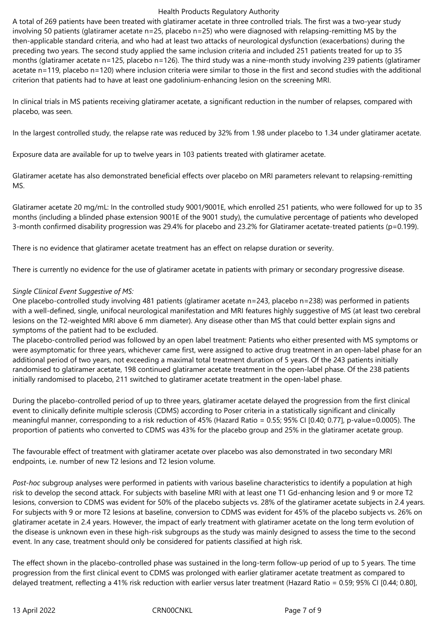#### Health Products Regulatory Authority

A total of 269 patients have been treated with glatiramer acetate in three controlled trials. The first was a two-year study involving 50 patients (glatiramer acetate n=25, placebo n=25) who were diagnosed with relapsing-remitting MS by the then-applicable standard criteria, and who had at least two attacks of neurological dysfunction (exacerbations) during the preceding two years. The second study applied the same inclusion criteria and included 251 patients treated for up to 35 months (glatiramer acetate n=125, placebo n=126). The third study was a nine-month study involving 239 patients (glatiramer acetate n=119, placebo n=120) where inclusion criteria were similar to those in the first and second studies with the additional criterion that patients had to have at least one gadolinium-enhancing lesion on the screening MRI.

In clinical trials in MS patients receiving glatiramer acetate, a significant reduction in the number of relapses, compared with placebo, was seen.

In the largest controlled study, the relapse rate was reduced by 32% from 1.98 under placebo to 1.34 under glatiramer acetate.

Exposure data are available for up to twelve years in 103 patients treated with glatiramer acetate.

Glatiramer acetate has also demonstrated beneficial effects over placebo on MRI parameters relevant to relapsing-remitting MS.

Glatiramer acetate 20 mg/mL: In the controlled study 9001/9001E, which enrolled 251 patients, who were followed for up to 35 months (including a blinded phase extension 9001E of the 9001 study), the cumulative percentage of patients who developed 3-month confirmed disability progression was 29.4% for placebo and 23.2% for Glatiramer acetate-treated patients (p=0.199).

There is no evidence that glatiramer acetate treatment has an effect on relapse duration or severity.

There is currently no evidence for the use of glatiramer acetate in patients with primary or secondary progressive disease.

# *Single Clinical Event Suggestive of MS:*

One placebo-controlled study involving 481 patients (glatiramer acetate n=243, placebo n=238) was performed in patients with a well-defined, single, unifocal neurological manifestation and MRI features highly suggestive of MS (at least two cerebral lesions on the T2-weighted MRI above 6 mm diameter). Any disease other than MS that could better explain signs and symptoms of the patient had to be excluded.

The placebo-controlled period was followed by an open label treatment: Patients who either presented with MS symptoms or were asymptomatic for three years, whichever came first, were assigned to active drug treatment in an open-label phase for an additional period of two years, not exceeding a maximal total treatment duration of 5 years. Of the 243 patients initially randomised to glatiramer acetate, 198 continued glatiramer acetate treatment in the open-label phase. Of the 238 patients initially randomised to placebo, 211 switched to glatiramer acetate treatment in the open-label phase.

During the placebo-controlled period of up to three years, glatiramer acetate delayed the progression from the first clinical event to clinically definite multiple sclerosis (CDMS) according to Poser criteria in a statistically significant and clinically meaningful manner, corresponding to a risk reduction of 45% (Hazard Ratio = 0.55; 95% CI [0.40; 0.77], p-value=0.0005). The proportion of patients who converted to CDMS was 43% for the placebo group and 25% in the glatiramer acetate group.

The favourable effect of treatment with glatiramer acetate over placebo was also demonstrated in two secondary MRI endpoints, i.e. number of new T2 lesions and T2 lesion volume.

*Post-hoc* subgroup analyses were performed in patients with various baseline characteristics to identify a population at high risk to develop the second attack. For subjects with baseline MRI with at least one T1 Gd-enhancing lesion and 9 or more T2 lesions, conversion to CDMS was evident for 50% of the placebo subjects vs. 28% of the glatiramer acetate subjects in 2.4 years. For subjects with 9 or more T2 lesions at baseline, conversion to CDMS was evident for 45% of the placebo subjects vs. 26% on glatiramer acetate in 2.4 years. However, the impact of early treatment with glatiramer acetate on the long term evolution of the disease is unknown even in these high-risk subgroups as the study was mainly designed to assess the time to the second event. In any case, treatment should only be considered for patients classified at high risk.

The effect shown in the placebo-controlled phase was sustained in the long-term follow-up period of up to 5 years. The time progression from the first clinical event to CDMS was prolonged with earlier glatiramer acetate treatment as compared to delayed treatment, reflecting a 41% risk reduction with earlier versus later treatment (Hazard Ratio = 0.59; 95% CI [0.44; 0.80],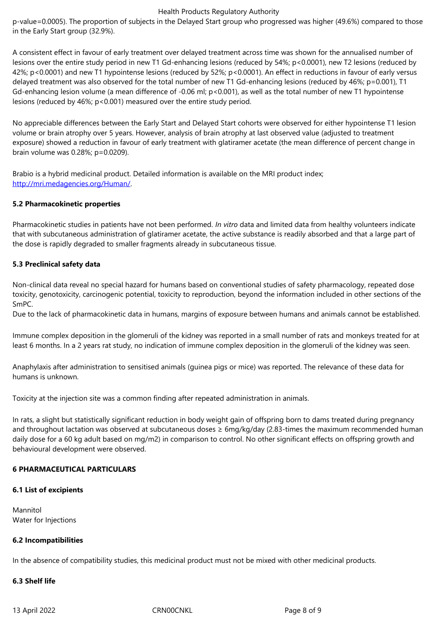A consistent effect in favour of early treatment over delayed treatment across time was shown for the annualised number of lesions over the entire study period in new T1 Gd-enhancing lesions (reduced by 54%; p<0.0001), new T2 lesions (reduced by 42%; p<0.0001) and new T1 hypointense lesions (reduced by 52%; p<0.0001). An effect in reductions in favour of early versus delayed treatment was also observed for the total number of new T1 Gd-enhancing lesions (reduced by 46%; p=0.001), T1 Gd-enhancing lesion volume (a mean difference of -0.06 ml; p<0.001), as well as the total number of new T1 hypointense lesions (reduced by 46%; p<0.001) measured over the entire study period.

No appreciable differences between the Early Start and Delayed Start cohorts were observed for either hypointense T1 lesion volume or brain atrophy over 5 years. However, analysis of brain atrophy at last observed value (adjusted to treatment exposure) showed a reduction in favour of early treatment with glatiramer acetate (the mean difference of percent change in brain volume was 0.28%; p=0.0209).

Brabio is a hybrid medicinal product. Detailed information is available on the MRI product index; http://mri.medagencies.org/Human/.

# **5.2 Pharmacokinetic properties**

[Pharmacokinetic studies in patients h](http://mri.medagencies.org/Human/)ave not been performed. *In vitro* data and limited data from healthy volunteers indicate that with subcutaneous administration of glatiramer acetate, the active substance is readily absorbed and that a large part of the dose is rapidly degraded to smaller fragments already in subcutaneous tissue.

# **5.3 Preclinical safety data**

Non-clinical data reveal no special hazard for humans based on conventional studies of safety pharmacology, repeated dose toxicity, genotoxicity, carcinogenic potential, toxicity to reproduction, beyond the information included in other sections of the SmPC.

Due to the lack of pharmacokinetic data in humans, margins of exposure between humans and animals cannot be established.

Immune complex deposition in the glomeruli of the kidney was reported in a small number of rats and monkeys treated for at least 6 months. In a 2 years rat study, no indication of immune complex deposition in the glomeruli of the kidney was seen.

Anaphylaxis after administration to sensitised animals (guinea pigs or mice) was reported. The relevance of these data for humans is unknown.

Toxicity at the injection site was a common finding after repeated administration in animals.

In rats, a slight but statistically significant reduction in body weight gain of offspring born to dams treated during pregnancy and throughout lactation was observed at subcutaneous doses ≥ 6mg/kg/day (2.83-times the maximum recommended human daily dose for a 60 kg adult based on mg/m2) in comparison to control. No other significant effects on offspring growth and behavioural development were observed.

# **6 PHARMACEUTICAL PARTICULARS**

## **6.1 List of excipients**

Mannitol Water for Injections

## **6.2 Incompatibilities**

In the absence of compatibility studies, this medicinal product must not be mixed with other medicinal products.

## **6.3 Shelf life**